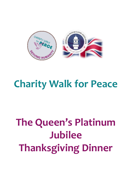

## **Charity Walk for Peace**

# **The Queen's Platinum Jubilee Thanksgiving Dinner**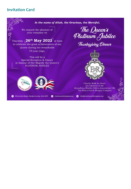## **Invitation Card**

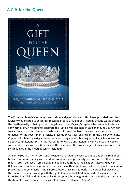## **A Gift for the Queen**



The Promised Messiah as undertook to show a sign of his owntruthfulness, provided that Her Majesty would agree to accept his message in case of fulfilment—adding that he would accept the death penalty by being put on the gallows in Her Majesty's capital if he is unable to show a convincing sign. A meeting to celebrate the Jubilee was also held in Qadian in June 1897, which was attended by several members who joined from out of town. In accordance with the directives of the government officials, a resolution was passed and sent to the Viceroy of India. Copies of Tohfa-e-Qaisariyyah were prepared in high quality binding, one of which was sent to Deputy Commissioner District Gurdaspur for onward transmission to Her Majesty, and copies were sent to the Governor General and the Lieutenant Governor Punjab. A prayer was recited in six languages in the meeting, which included:

Almighty God! As Thy Wisdom and Providence has been pleased to put us under the rule of our blessed Empress enabling us to lead lives of peace and prosperity, we pray to Thee that our ruler may in return be saved from all evils and dangers as Thine is the kingdom, glory and power. Believing in Thy unlimited powers we earnestly ask Thee, All-Powerful Lord, to grant us one more prayer that our benefactress the Empress, before leaving this world, may probe her way out of the darkness of man-worship with the light of la-ilaha illallah Muhammadur Rasulullah. [There is no God but Allah and Muhammad is His Prophet]. Do Almighty God as we desire, and grant us this humble prayer of ours as Thy will alone governs all minds. Amen!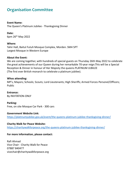## **Organisation Committee**

#### **Event Name:**

The Queen's Platinum Jubilee - Thanksgiving Dinner

**Date:** 6pm 26th May 2022

#### **Where:**

Tahir Hall, Baitul Futuh Mosque Complex, Morden. SM4 5PT Largest Mosque in Western Europe

#### **About the Event:**

We are coming together, with hundreds of special guests on Thursday 26th May 2022 to celebrate the great achievements of our Queen during her remarkable 70-year reign.This will be a Special Reception & Dinner in honour of Her Majesty the queens PLATINUM JUBILEE (The first ever British monarch to celebrate a platinum jubilee).

#### **Whos attending:**

MP's; Mayors; Schools; Scouts; Lord Lieutenants; High Sheriffs; Armed Forces Personel/Officers; Public

**Entrance:** By INVITATION-ONLY

#### **Parking:**

Free, on site Mosque Car Park - 300 cars

#### **Government Website Link:**

<https://platinumjubilee.gov.uk/event/the-queens-platinum-jubilee-thanksgiving-dinner/>

#### **Charity Walk for Peace Website:**

<https://charitywalkforpeace.org/the-queens-platinum-jubilee-thanksgiving-dinner/>

#### **For more information, please contact:**

Rafi Ahmad Vice Chair - Charity Walk for Peace 07887 840477 vicechair@charitywalkforpeace.org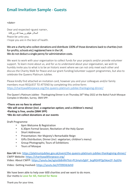## **Email Invitation Sample - Guests**

#### <date>

Dear and respected <guest name>, السلام عليكم ورحمة الله وبركاته Peace be unto you. I hope you are in the best of health.

#### We are a charity who collect donations and distribute 100% of those donations back to charities (notfor-profits; schools etc) registered here in the UK. We do not deduct a single penny for administration costs.

We want to work with your organisation to collect funds for your projects and/or provide volunteer support. To learn more about us, and for us to understand about your organisation, we wish to humbly invite you to what is to be an historic event where we can not only meet each other and discuss the Charity Walk for Peace and our grant-funding/volunteer support programmes, but also to celebrate the Queens Platinum Jubilee.

Please kindly find attached an invitation card, however you and your colleagues and/or family members must REQUEST TO ATTEND by completing this online form: <https://charitywalkforpeace.org/the-queens-platinum-jubilee-thanksgiving-dinner/>

The Queen's Platinum Jubilee - Thanksgiving Dinner is on Thursday 26<sup>th</sup> May 2022 at the Baitul Futuh Mosque Complex in Morden, Surrey. SM4 5PP.

#### •**There are no fees to attend**

- •**We will serve dinner (incl. a vegetarian option; and a children's menu)**
- •**Parking is free, onsite (SM4 5PP)**
- •**We do not collect donations at our events**

#### Draft Programme

- 6pm Welcome & Registration
- 6.30pm Formal Session; Recitation of the Holy Quran
- Short Addresses
- Presentation: Her Majesty's Remarkable Reign
- Gifts Distribution; Dinner (incl. vegetarian; children's menu)
- Group Photographs; Tours of Exhibitions
- Tours of Mosque

Gov UK link: <https://platinumjubilee.gov.uk/event/the-queens-platinum-jubilee-thanksgiving-dinner/> CWFP Website: <https://charitywalkforpeace.org/> Video: About CWFP: [https://youtu.be/sgJoiJb8nRA?list=PLSmytvZgbY\\_bcgRGHPQp5koe2F-3yjGYa](https://youtu.be/sgJoiJb8nRA?list=PLSmytvZgbY_bcgRGHPQp5koe2F-3yjGYa)

Video: Getting Involved: <https://youtu.be/HT09Dib3eh0>

We have been able to help over 600 charities and we want to do more. Our motto is **Love for All, Hatred for None**

Thank you for your time.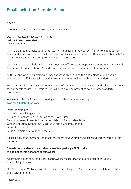## **Email Invitation Sample - Schools**

<date>

PLEASE EXCUSE US IF THIS INVITATION IS DUPLICATED

Dear & Respected Headteacher <name>, السلام عليكم ورحمة الله وبركاته Peace be unto you.

I am so delighted to invite you; school teachers; pupils; and their parents/family to join us at Her Majesty Queen Elizabeth II Special Reception and Thanksgiving Dinner on Thursday 26th May 2022, at our Baitul Futuh Mosque Complex. An invitation card is attached.

Our invited guests include Mayors; MP's; High Sheriffs; Lord and Deputy Lord Lieutenants; Faith and Community Leaders; Schools; Armed Forces Personnel; and members of voluntary services.

At this event, we are expecting a number of schoolchildren and their parents/family, including teachers and staff. Please join us and make this Platinum Jubilee Celebration a wonderful success.

You may consider bringing exhibitions/posters of a Jubilee project which we can display at the event for our guests to view. The national Press & Media will be present to collect some wonderful moments.

We very much look forward to meeting you and thank you for your support. Love for All, Hatred for None

Draft Programme: 6pm Welcome & Registration 6.30pm Formal Session; Recitation of the Holy Quran Short Addresses; Presentations on Her Majesty's Remarkable Reign Gifts Distribution; Dinner (incl. vegetarian and a Children's menu) Group Photographs Tours of Exhibitions; Tours of Mosque

Please kindly confirm your attendance. Members of your family and colleagues from work are very welcome.

### There is no attendance or any other type of fee; parking is FREE onsite. We do not collect donations at our events.

All attending must register: https://charitywalkforpeace.org/the-queens-platinum-jubileethanksgiving-dinner/

HM Government Website Link: https://platinumjubilee.gov.uk/event/the-queens-platinum-jubileethanksgiving-dinner/

Thank you.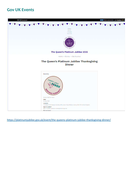### **Gov UK Events**



<https://platinumjubilee.gov.uk/event/the-queens-platinum-jubilee-thanksgiving-dinner/>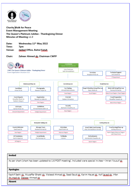

**Charity Walk for Peace Event Management Meeting** The Queen's Platinum Jubilee - Thanksgiving Dinner Minutes of Meeting v1.0

Date: Wednesday 11th May 2022 Time: 7pm Venue: **Jaidad Office, Baitul Eutub.** 

#### Chair: Zaheer Ahmed sb, Chairman CWFP



Invited As per chart (chart has been updated to 1.6 POST meeting). Included were special invitee - Imran Yousuf sh **Apologies** Kashif Sethi sb, Muzaffar Bhatti sb, Waleed Ahmad sb, Saad Saud sb, Karim Hayat sb, Asif Jaxed sb, Irfan Abumadiab, Dabeer Ahmadiab Absent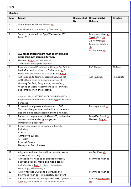| <b>Minutes</b> |                                                                                                                                                |    |                                                                                                  |           |  |
|----------------|------------------------------------------------------------------------------------------------------------------------------------------------|----|--------------------------------------------------------------------------------------------------|-----------|--|
|                |                                                                                                                                                |    |                                                                                                  |           |  |
|                |                                                                                                                                                | By | Delivery                                                                                         |           |  |
| 1              | Silent Prayer - Zaheer Ahmed sb                                                                                                                |    |                                                                                                  |           |  |
| $\overline{2}$ | Introduction to the event by Chairman sh                                                                                                       |    |                                                                                                  |           |  |
| 3              | Setup to be done from 5pm Wednesday 25th<br>May 2022                                                                                           |    | Mahmood Khan sh<br>Shaakil Butt sb.<br>Zia Rehman sh<br>Mubashir Siddiqui<br>版<br>Ashfaq Khan sh |           |  |
| 4              | ALL heads of department must be ON SITE and<br>setup their own areas on 25th May                                                               |    |                                                                                                  |           |  |
| 5              | Nadeem Baig sb will contact all                                                                                                                |    |                                                                                                  |           |  |
|                | TV/Radio/Newspapers urgently.                                                                                                                  |    |                                                                                                  |           |  |
| 6              | Road map from BF to Merton College Car Park to<br>be drafted and provided to Zia Rehman sh for<br>those who are unable to park at Baitul Futuh |    | Rafi Ahmad                                                                                       | 20 May    |  |
| 7              | Asif Javed sb, to formally accept REQUEST TO<br>ATTEND and send email with attachment,                                                         |    | Asif Jaxed sb.                                                                                   | Immediate |  |
|                | showing Car Park; Programme; Invite Card;                                                                                                      |    |                                                                                                  |           |  |
|                | Wearing of Masks Recommended in Tahir Hall,                                                                                                    |    |                                                                                                  |           |  |
|                | but compulsory in the Mosque.                                                                                                                  |    |                                                                                                  |           |  |
|                | Copy of official ATTENDANCE CONFIRMATION to<br>be provided to Basharat Chaudhry sh for Security<br>Purposes.                                   |    |                                                                                                  |           |  |
| 8              | Expected total guests and members - 300                                                                                                        |    | Farooq Ahmad sh                                                                                  |           |  |
|                | This may change closer to the time of the event.                                                                                               |    |                                                                                                  |           |  |
|                | Site should be setup according to this number.                                                                                                 |    |                                                                                                  |           |  |
| 9              | Reports to be prepared IN ADVANCE, so that the                                                                                                 |    | Muzaffar Bhatti sh                                                                               |           |  |
|                | content can be added je images, text                                                                                                           |    | Nadeem Baig sb                                                                                   |           |  |
|                | immediately post event.                                                                                                                        |    |                                                                                                  |           |  |
| 10             | Reports are required in Urdu and English<br>Including<br>Al Fazal<br>Ahmadiyya Bulletin                                                        |    |                                                                                                  |           |  |
|                | Al Hakam                                                                                                                                       |    |                                                                                                  |           |  |
|                | <b>External Guests</b>                                                                                                                         |    |                                                                                                  |           |  |
|                | Newspaper Press Release                                                                                                                        |    |                                                                                                  |           |  |
|                |                                                                                                                                                |    |                                                                                                  |           |  |
| 11             | All guests and members will be provided seated<br>dinner with crockery                                                                         |    | Ashfaq Khan sh                                                                                   |           |  |
| 12             | A meeting will need to be arranged urgently                                                                                                    |    | Mahmood Khan sh                                                                                  |           |  |
|                | between all social media and media teams                                                                                                       |    |                                                                                                  |           |  |
|                | including Sami Basri to discuss interviews;                                                                                                    |    |                                                                                                  |           |  |
|                | recordings; MTA News; etc                                                                                                                      |    |                                                                                                  |           |  |
| 13             | All raw footage COPIES to be provided to                                                                                                       |    | Mahmood Khan sh                                                                                  |           |  |
|                | Mahmood Khan sh - immediately post event                                                                                                       |    |                                                                                                  |           |  |
| 14             | 3 Exhibitions will be on display - CWFP; Queens                                                                                                |    | Ahmad Nasserudio                                                                                 |           |  |
|                | Jubilles; and history of War by Dr Irfan Malik                                                                                                 |    | āk.                                                                                              |           |  |